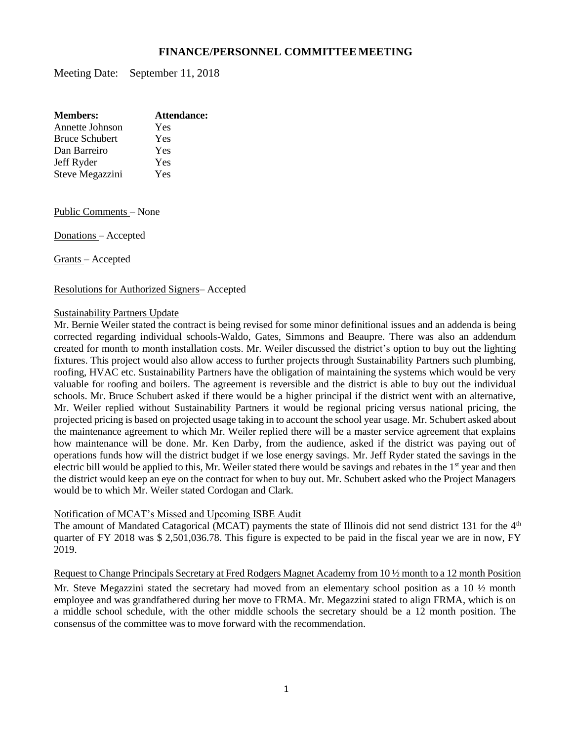## **FINANCE/PERSONNEL COMMITTEEMEETING**

Meeting Date: September 11, 2018

| <b>Members:</b>       | Attendance: |
|-----------------------|-------------|
| Annette Johnson       | Yes         |
| <b>Bruce Schubert</b> | Yes         |
| Dan Barreiro          | Yes         |
| Jeff Ryder            | Yes         |
| Steve Megazzini       | Yes         |
|                       |             |

Public Comments – None

Donations – Accepted

Grants – Accepted

Resolutions for Authorized Signers– Accepted

#### Sustainability Partners Update

Mr. Bernie Weiler stated the contract is being revised for some minor definitional issues and an addenda is being corrected regarding individual schools-Waldo, Gates, Simmons and Beaupre. There was also an addendum created for month to month installation costs. Mr. Weiler discussed the district's option to buy out the lighting fixtures. This project would also allow access to further projects through Sustainability Partners such plumbing, roofing, HVAC etc. Sustainability Partners have the obligation of maintaining the systems which would be very valuable for roofing and boilers. The agreement is reversible and the district is able to buy out the individual schools. Mr. Bruce Schubert asked if there would be a higher principal if the district went with an alternative, Mr. Weiler replied without Sustainability Partners it would be regional pricing versus national pricing, the projected pricing is based on projected usage taking in to account the school year usage. Mr. Schubert asked about the maintenance agreement to which Mr. Weiler replied there will be a master service agreement that explains how maintenance will be done. Mr. Ken Darby, from the audience, asked if the district was paying out of operations funds how will the district budget if we lose energy savings. Mr. Jeff Ryder stated the savings in the electric bill would be applied to this, Mr. Weiler stated there would be savings and rebates in the 1<sup>st</sup> year and then the district would keep an eye on the contract for when to buy out. Mr. Schubert asked who the Project Managers would be to which Mr. Weiler stated Cordogan and Clark.

#### Notification of MCAT's Missed and Upcoming ISBE Audit

The amount of Mandated Catagorical (MCAT) payments the state of Illinois did not send district 131 for the 4<sup>th</sup> quarter of FY 2018 was \$ 2,501,036.78. This figure is expected to be paid in the fiscal year we are in now, FY 2019.

Request to Change Principals Secretary at Fred Rodgers Magnet Academy from 10 ½ month to a 12 month Position

Mr. Steve Megazzini stated the secretary had moved from an elementary school position as a 10  $\frac{1}{2}$  month employee and was grandfathered during her move to FRMA. Mr. Megazzini stated to align FRMA, which is on a middle school schedule, with the other middle schools the secretary should be a 12 month position. The consensus of the committee was to move forward with the recommendation.